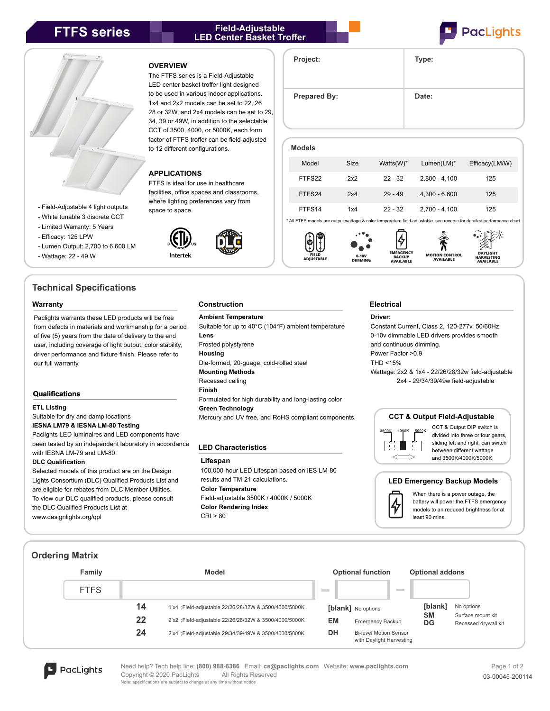# **FTFS series Field-Adjustable LED Center Basket Troffer**





- Field-Adjustable 4 light outputs
- White tunable 3 discrete CCT
- Limited Warranty: 5 Years

- Efficacy: 125 LPW

- Lumen Output: 2,700 to 6,600 LM
- Wattage: 22 49 W

# **Technical Specifications**

Paclights warrants these LED products will be free from defects in materials and workmanship for a period of five (5) years from the date of delivery to the end user, including coverage of light output, color stability, driver performance and fixture finish. Please refer to our full warranty.

# **Qualifications**

# **ETL Listing**

Suitable for dry and damp locations

# **IESNA LM79 & IESNA LM-80 Testing**

Paclights LED luminaires and LED components have been tested by an independent laboratory in accordance with IESNA LM-79 and LM-80.

# **DLC Qualification**

Selected models of this product are on the Design Lights Consortium (DLC) Qualified Products List and are eligible for rebates from DLC Member Utilities. To view our DLC qualified products, please consult the DLC Qualified Products List at www.designlights.org/qpl

## **OVERVIEW**

The FTFS series is a Field-Adjustable LED center basket troffer light designed to be used in various indoor applications. 1x4 and 2x2 models can be set to 22, 26 28 or 32W, and 2x4 models can be set to 29, 34, 39 or 49W, in addition to the selectable CCT of 3500, 4000, or 5000K, each form factor of FTFS troffer can be field-adjusted to 12 different configurations.

# **APPLICATIONS**

FTFS is ideal for use in healthcare facilities, office spaces and classrooms, where lighting preferences vary from space to space.





**Models**

**FIELD ADJUSTABLE**



**EMERGENCY BACKUP AVAILABLE**

**Project: Type:**

Prepared By: **Date:** 

## **Construction Warranty Electrical**

**Ambient Temperature** Suitable for up to 40°C (104°F) ambient temperature **Lens** Frosted polystyrene **Housing** Die-formed, 20-guage, cold-rolled steel **Mounting Methods** Recessed ceiling **Finish** Formulated for high durability and long-lasting color

# **Green Technology**

Mercury and UV free, and RoHS compliant components.

## **LED Characteristics**

## **Lifespan**

100,000-hour LED Lifespan based on IES LM-80 results and TM-21 calculations. **Color Temperature** Field-adjustable 3500K / 4000K / 5000K **Color Rendering Index** CRI > 80

# **Driver:**

**0-10V DIMMING**

> Constant Current, Class 2, 120-277v, 50/60Hz 0-10v dimmable LED drivers provides smooth and continuous dimming.

**MOTION CONTROL AVAILABLE**

**HARVESTING AVAILABLE**

Power Factor >0.9

THD <15%

Wattage: 2x2 & 1x4 - 22/26/28/32w field-adjustable 2x4 - 29/34/39/49w field-adjustable

# **CCT & Output Field-Adjustable**



CCT & Output DIP switch is divided into three or four gears. sliding left and right, can switch between different wattage and 3500K/4000K/5000K.

# **LED Emergency Backup Models**



When there is a power outage, the battery will power the FTFS emergency models to an reduced brightness for at least 90 mins.

# **Ordering Matrix**

| Family      |    | <b>Model</b>                                           | <b>Optional function</b> |                                                           | <b>Optional addons</b> |                                           |
|-------------|----|--------------------------------------------------------|--------------------------|-----------------------------------------------------------|------------------------|-------------------------------------------|
| <b>FTFS</b> |    |                                                        | <b>Contract</b>          | <b>Contract</b>                                           |                        |                                           |
|             | 14 | 1'x4' ;Field-adjustable 22/26/28/32W & 3500/4000/5000K |                          | [blank] No options                                        | [blank]                | No options                                |
|             | 22 | 2'x2' ;Field-adjustable 22/26/28/32W & 3500/4000/5000K | EM                       | <b>Emergency Backup</b>                                   | <b>SM</b><br>DG        | Surface mount kit<br>Recessed drywall kit |
|             | 24 | 2'x4' ;Field-adjustable 29/34/39/49W & 3500/4000/5000K | DH                       | <b>Bi-level Motion Sensor</b><br>with Daylight Harvesting |                        |                                           |